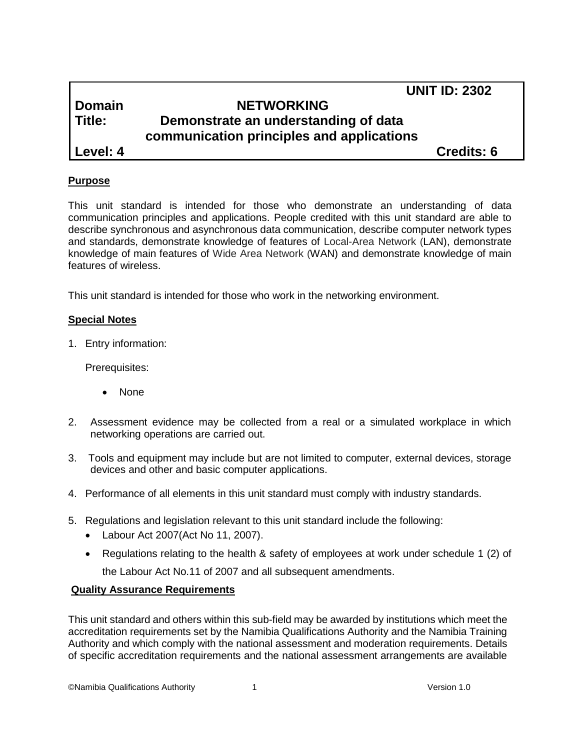# **UNIT ID: 2302**

# **Domain NETWORKING Title: Demonstrate an understanding of data communication principles and applications Level: 4 Credits: 6**

### **Purpose**

This unit standard is intended for those who demonstrate an understanding of data communication principles and applications. People credited with this unit standard are able to describe synchronous and asynchronous data communication, describe computer network types and standards, demonstrate knowledge of features of Local-Area Network (LAN), demonstrate knowledge of main features of Wide Area Network (WAN) and demonstrate knowledge of main features of wireless.

This unit standard is intended for those who work in the networking environment.

#### **Special Notes**

1. Entry information:

Prerequisites:

- None
- 2. Assessment evidence may be collected from a real or a simulated workplace in which networking operations are carried out.
- 3. Tools and equipment may include but are not limited to computer, external devices, storage devices and other and basic computer applications.
- 4. Performance of all elements in this unit standard must comply with industry standards.
- 5. Regulations and legislation relevant to this unit standard include the following:
	- Labour Act 2007(Act No 11, 2007).
	- Regulations relating to the health & safety of employees at work under schedule 1 (2) of the Labour Act No.11 of 2007 and all subsequent amendments.

#### **Quality Assurance Requirements**

This unit standard and others within this sub-field may be awarded by institutions which meet the accreditation requirements set by the Namibia Qualifications Authority and the Namibia Training Authority and which comply with the national assessment and moderation requirements. Details of specific accreditation requirements and the national assessment arrangements are available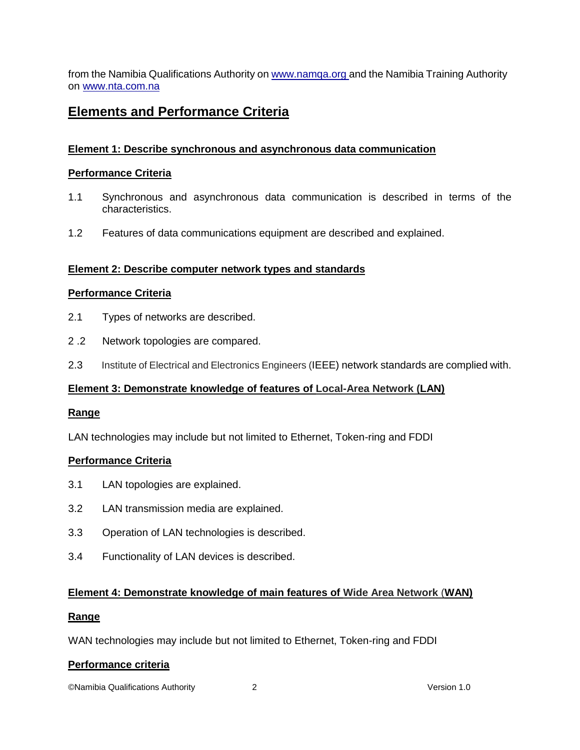from the Namibia Qualifications Authority o[n www.namqa.org a](http://www.namqa.org/)nd the Namibia Training Authority on [www.nta.com.na](http://www.nta.com.na/)

# **Elements and Performance Criteria**

## **Element 1: Describe synchronous and asynchronous data communication**

#### **Performance Criteria**

- 1.1 Synchronous and asynchronous data communication is described in terms of the characteristics.
- 1.2 Features of data communications equipment are described and explained.

### **Element 2: Describe computer network types and standards**

#### **Performance Criteria**

- 2.1 Types of networks are described.
- 2 .2 Network topologies are compared.
- 2.3 Institute of Electrical and Electronics Engineers (IEEE) network standards are complied with.

#### **Element 3: Demonstrate knowledge of features of Local-Area Network (LAN)**

#### **Range**

LAN technologies may include but not limited to Ethernet, Token-ring and FDDI

#### **Performance Criteria**

- 3.1 LAN topologies are explained.
- 3.2 LAN transmission media are explained.
- 3.3 Operation of LAN technologies is described.
- 3.4 Functionality of LAN devices is described.

## **Element 4: Demonstrate knowledge of main features of Wide Area Network** (**WAN)**

#### **Range**

WAN technologies may include but not limited to Ethernet, Token-ring and FDDI

#### **Performance criteria**

©Namibia Qualifications Authority 2 Version 1.0